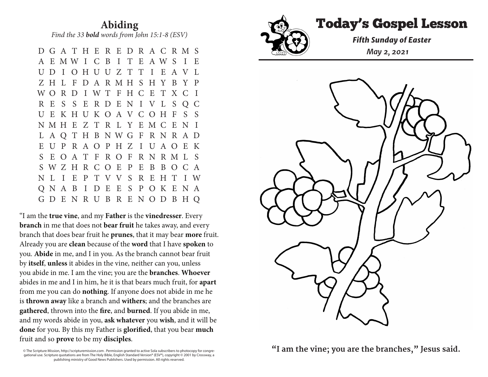**Abiding** *Find the 33 bold words from John 15:1-8 (ESV)* 

 D G A T H E R E D R A C R M S A E M W I C B I T E A W S I E U D I O H U U Z T T I E A V L Z H L F D A R M H S H Y B Y P W O R D I W T F H C E T X C I R E S S E R D E N I V L S Q C U E K H U K O A V C O H F S S N M H E Z T R L Y E M C E N I L A Q T H B N W G F R N R A D E U P R A O P H Z I U A O E K S E O A T F R O F R N R M L S S W Z H R C O E P E B B O C A N L I E P T V V S R E H T I W Q N A B I D E E S P O K E N A G D E N R U B R E N O D B H Q

"I am the **true vine**, and my **Father** is the **vinedresser**. Every **branch** in me that does not **bear fruit** he takes away, and every branch that does bear fruit he **prunes**, that it may bear **more** fruit. Already you are **clean** because of the **word** that I have **spoken** to you. **Abide** in me, and I in you. As the branch cannot bear fruit by **itself**, **unless** it abides in the vine, neither can you, unless you abide in me. I am the vine; you are the **branches**. **Whoever** abides in me and I in him, he it is that bears much fruit, for **apart** from me you can do **nothing**. If anyone does not abide in me he is **thrown away** like a branch and **withers**; and the branches are **gathered**, thrown into the **fire**, and **burned**. If you abide in me, and my words abide in you, **ask whatever** you **wish**, and it will be **done** for you. By this my Father is **glorified**, that you bear **much** fruit and so **prove** to be my **disciples**.

© The Scripture Mission, http://scripturemission.com . Permission granted to active Sola subscribers to photocopy for congregational use. Scripture quotations are from The Holy Bible, English Standard Version® (ESV®), copyright © 2001 by Crossway, a publishing ministry of Good News Publishers. Used by permission. All rights reserved.



## Today's Gospel Lesson **Abiding**

*Fifth Sunday of Easter*  $\mathbb{M}$  May 2, 2021  $\sum_{\mathbf{r}}$ 



© The Scripture Mission, http://scripturemission.com . Permission granted to active Sola subscribers to photocopy for congre-**"I am the vine; you are the branches," Jesus said.**